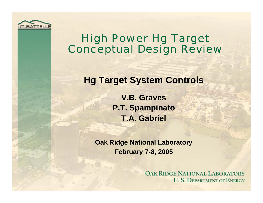

### High Power Hg Target Conceptual Design Review

#### **Hg Target System Controls**

**V.B. GravesP.T. Spampinato T.A. Gabriel**

**Oak Ridge National Laboratory February 7-8, 2005**

> **OAK RIDGE NATIONAL LABORATORY U.S. DEPARTMENT OF ENERGY**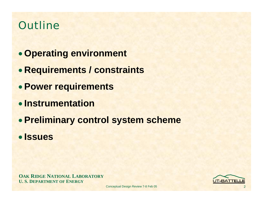## **Outline**

- **Operating environment**
- **Requirements / constraints**
- **Power requirements**
- **Instrumentation**
- **Preliminary control system scheme**
- **Issues**

**OAK RIDGE NATIONAL LABORATORY U. S. DEPARTMENT OF ENERGY**

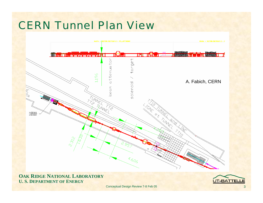# CERN Tunnel Plan View



**OAK RIDGE NATIONAL LABORATORY U. S. DEPARTMENT OF ENERGY**

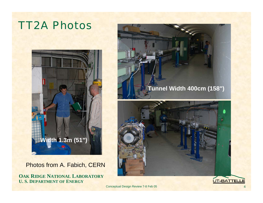# TT2A Photos





**OAK RIDGE NATIONAL LABORATORY U. S. DEPARTMENT OF ENERGY**





Conceptual Design Review 7-8 Feb 05

UT-BATTELLE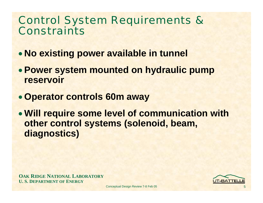### Control System Requirements & Constraints

- **No existing power available in tunnel**
- **Power system mounted on hydraulic pump reservoir**
- **Operator controls 60m away**
- **Will require some level of communication with other control systems (solenoid, beam, diagnostics)**

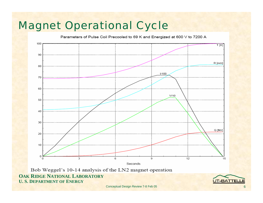# Magnet Operational Cycle

Parameters of Pulse Coil Precooled to 69 K and Energized at 600 V to 7200 A



Bob Weggel's 10-14 analysis of the LN2 magnet operation **OAK RIDGE NATIONAL LABORATORY U. S. DEPARTMENT OF ENERGY**

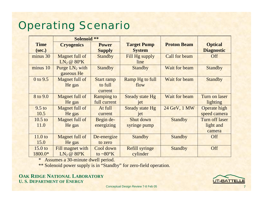# Operating Scenario

|                    | <b>Solenoid **</b>                  |                      |                        |                    |                       |
|--------------------|-------------------------------------|----------------------|------------------------|--------------------|-----------------------|
| <b>Time</b>        | <b>Cryogenics</b>                   | <b>Power</b>         | <b>Target Pump</b>     | <b>Proton Beam</b> | <b>Optical</b>        |
| (sec.)             |                                     | <b>Supply</b>        | <b>System</b>          |                    | <b>Diagnostic</b>     |
| minus 30           | Magnet full of                      | <b>Standby</b>       | Fill Hg supply         | Call for beam      | Off                   |
|                    | LN <sub>2</sub> @ 80 <sup>o</sup> K |                      | line                   |                    |                       |
| minus 10           | Purge $LN_2$ with                   | <b>Standby</b>       | <b>Standby</b>         | Wait for beam      | <b>Standby</b>        |
|                    | gaseous He                          |                      |                        |                    |                       |
| 0 to 9.5           | Magnet full of                      | <b>Start ramp</b>    | <b>Ramp Hg to full</b> | Wait for beam      | <b>Standby</b>        |
|                    | He gas                              | to full              | flow                   |                    |                       |
|                    |                                     | current              |                        |                    |                       |
| 8 to 9.0           | Magnet full of                      | <b>Ramping to</b>    | <b>Steady state Hg</b> | Wait for beam      | Turn on laser         |
|                    | He gas                              | full current         | iet                    |                    | lighting              |
| $9.5$ to           | Magnet full of                      | At full              | <b>Steady state Hg</b> | 24 GeV, 1 MW       | Operate high          |
| 10.5               | He gas                              | current              | jet                    |                    | speed camera          |
| $10.5$ to          | Magnet full of                      | Begin de-            | Shut down              | <b>Standby</b>     | <b>Turn off laser</b> |
| 11.0               | He gas                              | energizing           | syringe pump           |                    | light and             |
|                    |                                     |                      |                        |                    | camera                |
| 11.0 <sub>to</sub> | Magnet full of                      | De-energize          | <b>Standby</b>         | <b>Standby</b>     | Off                   |
| 15.0               | He gas                              | to zero              |                        |                    |                       |
| 15.0 <sub>to</sub> | Fill magnet with                    | Cool down            | <b>Refill syringe</b>  | <b>Standby</b>     | Off                   |
| 1800.0*            | LN <sub>2</sub> @ 80 <sup>o</sup> K | to $\sim 80^\circ K$ | cylinder               |                    |                       |

\* Assumes a 30-minute dwell period.

\*\* Solenoid power supply is in "Standby" for zero-field operation.

**OAK RIDGE NATIONAL LABORATORY U. S. DEPARTMENT OF ENERGY**



7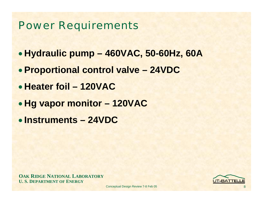### Power Requirements

- **Hydraulic pump – 460VAC, 50-60Hz, 60A**
- **Proportional control valve – 24VDC**
- **Heater foil – 120VAC**
- **Hg vapor monitor – 120VAC**
- **Instruments – 24VDC**

**OAK RIDGE NATIONAL LABORATORY U. S. DEPARTMENT OF ENERGY**

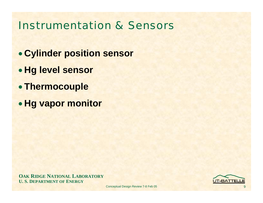### Instrumentation & Sensors

- **Cylinder position sensor**
- **Hg level sensor**
- **Thermocouple**
- **Hg vapor monitor**

**OAK RIDGE NATIONAL LABORATORY U. S. DEPARTMENT OF ENERGY**

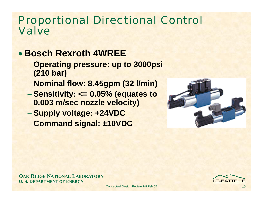#### Proportional Directional Control Valve

### • **Bosch Rexroth 4WREE**

- **Operating pressure: up to 3000psi (210 bar)**
- **Nominal flow: 8.45gpm (32 l/min)**
- **Sensitivity: <= 0.05% (equates to 0.003 m/sec nozzle velocity)**
- **Supply voltage: +24VDC**
- **Command signal: ±10VDC**



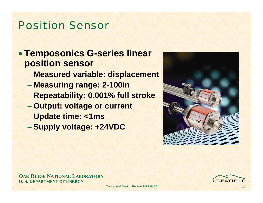### Position Sensor

#### • **Temposonics G-series linear position sensor**

- **Measured variable: displacement**
- **Measuring range: 2-100in**
- **Repeatability: 0.001% full stroke**
- **Output: voltage or current**
- **Update time: <1ms**
- **Supply voltage: +24VDC**



**OAK RIDGE NATIONAL LABORATORY U. S. DEPARTMENT OF ENERGY**

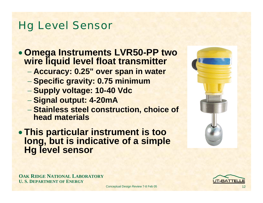## Hg Level Sensor

- **Omega Instruments LVR50-PP two wire liquid level float transmitter**
	- **Accuracy: 0.25" over span in water**
	- **Specific gravity: 0.75 minimum**
	- **Supply voltage: 10-40 Vdc**
	- **Signal output: 4-20mA**
	- **Stainless steel construction, choice of head materials**
- **This particular instrument is too long, but is indicative of a simple Hg level sensor**





**OAK RIDGE NATIONAL LABORATORY U. S. DEPARTMENT OF ENERGY**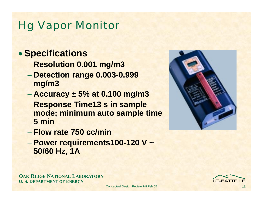# Hg Vapor Monitor

#### • **Specifications**

- **Resolution 0.001 mg/m3**
- **Detection range 0.003-0.999 mg/m3**
- **Accuracy ± 5% at 0.100 mg/m3**
- **Response Time13 s in sample mode; minimum auto sample time 5 min**
- − **Flow rate 750 cc/min**
- **Power requirements100-120 V ~ 50/60 Hz, 1A**



**OAK RIDGE NATIONAL LABORATORY U. S. DEPARTMENT OF ENERGY**

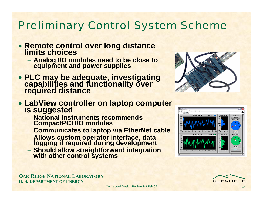# Preliminary Control System Scheme

- **Remote control over long distance limits choices**
	- **Analog I/O modules need to be close to equipment and power supplies**
- **PLC may be adequate, investigating capabilities and functionality over required distance**



- **LabView controller on laptop computer is suggested**
	- − **National Instruments recommends CompactPCI I/O modules**
	- **Communicates to laptop via EtherNet cable**
	- **Allows custom operator interface, data logging if required during development**
	- **Should allow straightforward integration with other control systems**



**OAK RIDGE NATIONAL LABORATORY U. S. DEPARTMENT OF ENERGY**